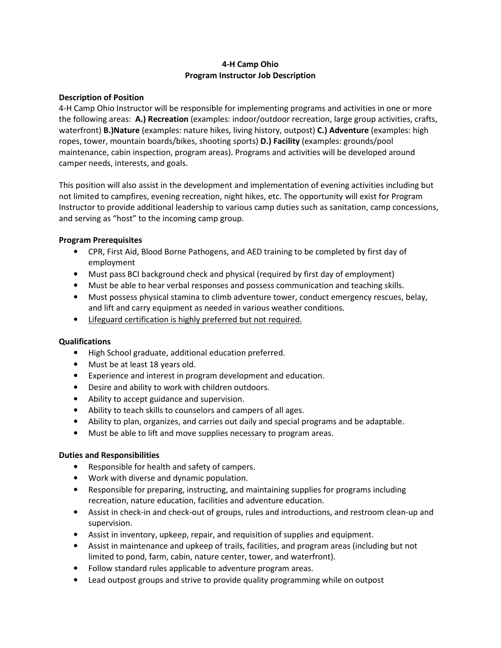## 4-H Camp Ohio Program Instructor Job Description

#### Description of Position

4-H Camp Ohio Instructor will be responsible for implementing programs and activities in one or more the following areas: A.) Recreation (examples: indoor/outdoor recreation, large group activities, crafts, waterfront) B.)Nature (examples: nature hikes, living history, outpost) C.) Adventure (examples: high ropes, tower, mountain boards/bikes, shooting sports) D.) Facility (examples: grounds/pool maintenance, cabin inspection, program areas). Programs and activities will be developed around camper needs, interests, and goals.

This position will also assist in the development and implementation of evening activities including but not limited to campfires, evening recreation, night hikes, etc. The opportunity will exist for Program Instructor to provide additional leadership to various camp duties such as sanitation, camp concessions, and serving as "host" to the incoming camp group.

## Program Prerequisites

- CPR, First Aid, Blood Borne Pathogens, and AED training to be completed by first day of employment
- Must pass BCI background check and physical (required by first day of employment)
- Must be able to hear verbal responses and possess communication and teaching skills.
- Must possess physical stamina to climb adventure tower, conduct emergency rescues, belay, and lift and carry equipment as needed in various weather conditions.
- Lifeguard certification is highly preferred but not required.

## **Qualifications**

- High School graduate, additional education preferred.
- Must be at least 18 years old.
- Experience and interest in program development and education.
- Desire and ability to work with children outdoors.
- Ability to accept guidance and supervision.
- Ability to teach skills to counselors and campers of all ages.
- Ability to plan, organizes, and carries out daily and special programs and be adaptable.
- Must be able to lift and move supplies necessary to program areas.

## Duties and Responsibilities

- Responsible for health and safety of campers.
- Work with diverse and dynamic population.
- Responsible for preparing, instructing, and maintaining supplies for programs including recreation, nature education, facilities and adventure education.
- Assist in check-in and check-out of groups, rules and introductions, and restroom clean-up and supervision.
- Assist in inventory, upkeep, repair, and requisition of supplies and equipment.
- Assist in maintenance and upkeep of trails, facilities, and program areas (including but not limited to pond, farm, cabin, nature center, tower, and waterfront).
- Follow standard rules applicable to adventure program areas.
- Lead outpost groups and strive to provide quality programming while on outpost